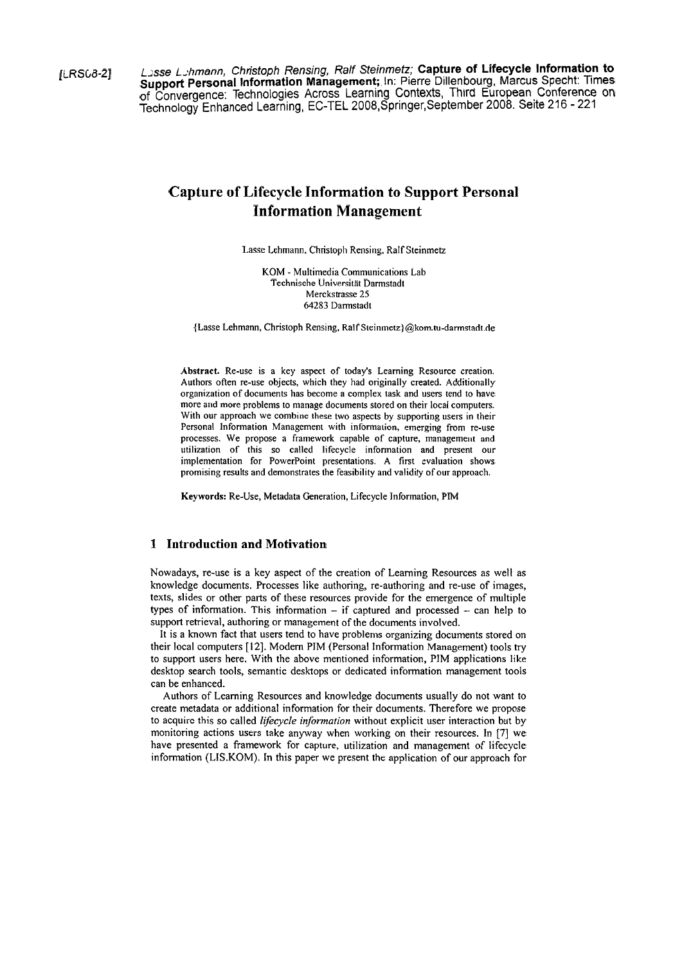**(LRSLa-21** Lisse khmann, Christoph Rensing, Ralf Steinmetz; **Capture of Lifecycle Information to Support Personal Information Management;.** In: Pierre Dillenbourg, Marcus Specht: Times of Convergence: Technologies Across Learning Contexts, Third European Conference on Technology Enhanced Learning, EC-TEL 2008,Springer,September 2008. Seite 216 - 221

# **Capture of Lifecycle Information to Support Personal Information Management**

Lasse Lehmann, Christoph Rensing, Ralf Steinmetz

KOM - Multimedia Communications Lab Technische Universität Darmstadt Merckstrasse 25 64283 Darmstadt

{Lasse Lehmann, Christoph Rensing, Ralf **Steinmetz)@kom.tu-darmstadt.de** 

Abstract. Re-use is a key aspect of today's Learning Resource creation. Authors often re-use objects, which they had originally created. Additionally organization of documents has become a complex task and users tend to have more and more problems to manage documents stored on their local computers. With our approach we combine these two aspects by supporting users in their Personal Information Management with information, emerging from re-use processes. We propose a framework capable of capture, management and utilization of this so called lifecycle information and present our implementation for PowerPoint presentations. A first evaluation shows promising results and demonstrates the feasibility and validity of our approach.

Keywords: Re-Use, Metadata Generation, Lifecycle Information, **PIM** 

#### **1 Introduction and Motivation**

Nowadays, re-use is a key aspect of the creation of Leaming Resources as well as knowledge documents. Processes like authoring, re-authoring and re-use of images, texts, slides or other parts of these resources provide for the emergence of multiple types of information. This information - if captured and processed - can help to support retrieval, authoring or management of the documents involved.

It is a known fact that users tend to have problems organizing documents stored on their local computers **[I** 21. Modern PIM (Personal Information Management) tools **try**  to support users here. With the above mentioned information, PIM applications like desktop search tools, semantic desktops or dedicated information management tools can be enhanced.

Authors of Leaming Resources and knowledge documents usually do not Want to create metadata or additional information for their documents. Therefore we propose to acquire this so called *lifecycle* information without explicit user interaction but by monitoring actions users take anyway when working on their resources. In [7] we have presented a framework for capture, utilization and management of lifecycle information (LIS.KOM). In this paper we present the application of our approach for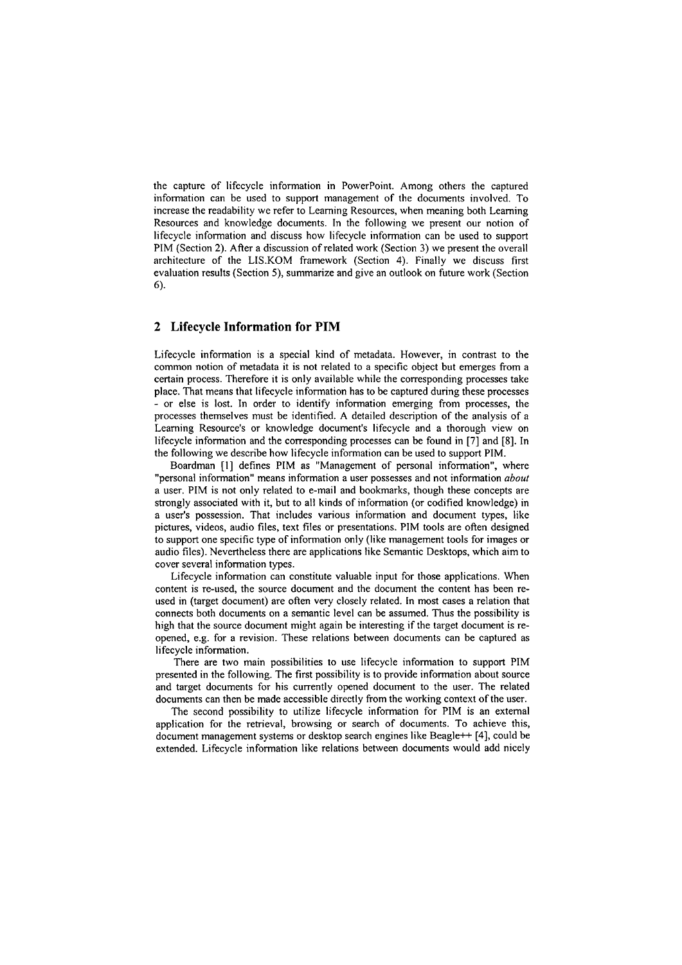the capture of lifecycle information in PowerPoint. Among others the captured information can be used to support management of the documents involved. To increase the readability we refer to Learning Resources, when meaning both Leaming Resources and knowledge documents. In the following we present our notion of lifecycle information and discuss how lifecycle information can be used to support PIM (Section **2).** After a discussion of related work (Section **3)** we present the overall architecture of the LIS.KOM framework (Section 4). Finally we discuss first evaluation results (Section 5), summarize and give an outlook on future work (Section **6).** 

### **2 Lifecycle Information for PIM**

Lifecycle information is a special kind of metadata. However, in contrast to the common notion of metadata it is not related to a specific object but emerges from a certain process. Therefore it is only available while the corresponding processes take place. That means that lifecycle information has to be captured during these processes - or else is lost. In order to identify information emerging from processes, the processes themselves must be identified. **A** detailed description of the analysis of a Leaming Resource's or knowledge document's lifecycle and a thorough view on lifecycle information and the corresponding processes can be found in [7] and [8]. In the following we descnbe how lifecycle information can be used to support PIM.

Boardman [I] defines PIM as "Management of personal information", where "personal information" means information a User possesses and not information *about*  a user. PIM is not only related to e-mail and bookmarks, though these concepts are strongly associated with it, but to all kinds of information (or codified knowledge) in a user's possession. That includes various information and document types, like pictures, videos, audio files, text files or presentations. PIM tools are often designed to support one specific type of information only (like management tools for images or audio files). Nevertheless there are applications like Semantic Desktops, which aim to cover several information types.

Lifecycle information can constitute valuable input for those applications. When content is re-used, the source document and the document the content has been reused in (target document) are often very closely related. In most cases a relation that connects both documents on a semantic level can be assumed. Thus the possibility is high that the source document might again be interesting if the target document is reopened, e.g. for a revision. These relations between documents can be captured as lifecycle information.

There are two main possibilities to use lifecycle information to support PIM presented in the following. The first possibility is to provide information about source and target documents for his currently opened document to the user. The related documents can then be made accessible directly from the working context of the user.

The second possibility to utilize lifecycle information for PIM is an extemal application for the retrieval, browsing or search of documents. To achieve this, document management systems or desktop search engines like Beagle++ [4], could be extended. Lifecycle information like relations between documents would add nicely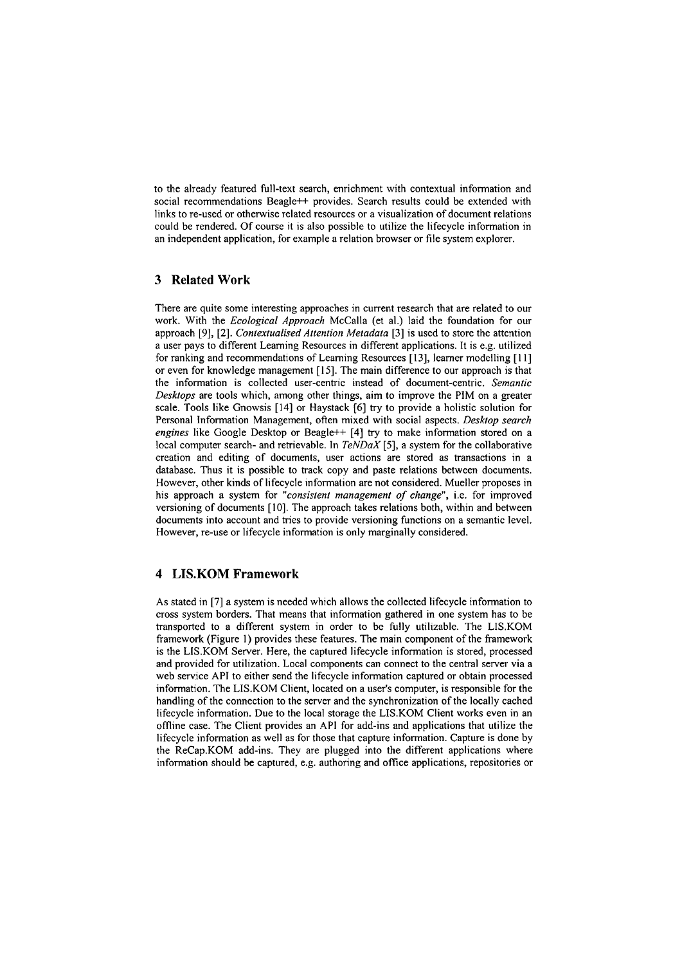to the already featured full-text search, enrichment with contextual information and social recommendations Beagle++ provides. Search results could be extended with links to re-used or otherwise related resources or a visualization of document relations could be rendered. Of Course it is also possible to utilize the lifecycle information in an independent application, for example a relation browser or file system explorer.

# **3 Related Work**

There are quite some interesting approaches in current research that are related to our work. With the *Ecological Approach* McCalla (et al.) laid the foundation for our approach [9], [2]. *Contextualised Attention Metadata* [3] is used to Store the attention a user pays to different Learning Resources in different applications. It is e.g. utilized for ranking and recommendations of Leaming Resources [13], leamer modelling [I I] or even for knowledge management [I 51. The main difference to our approach is that the information is collected user-ceniric instead of document-centric. *Semantic Desktops* are tools which, among other things, aim to improve the PIM on a greater scale. Tools like Gnowsis [14] or Haystack [6] try to provide a holistic solution for Personal Information Management, often mixed with social aspects. *Desktop search engines* like Google Desktop or Beagle++ [4] try to make information stored on a local computer search- and retrievable. In *TeNDaX* [5], a system for the collaborative creation and editing of documents, user actions are stored as transactions in a database. Thus it is possible to track copy and paste relations between documents. However, other kinds of lifecycle information are not considered. Mueller proposes in his approach a system for *"consistent management* of *change",* i.e. for improved versioning of documents [IO]. The approach takes relations both, within and between documents into account and tries to provide versioning functions on a semantic level. However, re-use or lifecycle information is only marginally considered.

# **4 LIS.KOM Framework**

**As** stated in [7] a system is needed which allows the collected lifecycle information to cross system borders. That means that information gathered in one system has to be transported to a different system in order to be fully utilizable. The LIS.KOM framework (Figure 1) provides these features. The main component of the framework is the LIS.KOM Server. Here, the captured lifecycle information is stored, processed and provided for utilization. Local components can connect to the central server via a web service API to either send the lifecycle information captured or obtain processed information. The LIS.KOM Client, located on a user's computer, is responsible for the handling of the connection to the server and the synchronization of the locally cached lifecycle information. Due to the local storage the LIS.KOM Client works even in an ofline case. The Client provides an API for add-ins and applications that utilize the lifecycle information as well as for those that capture information. Capture is done by the ReCap.KOM add-ins. They are plugged into the different applications where information should be captured, e.g. authoring and office applications, repositories or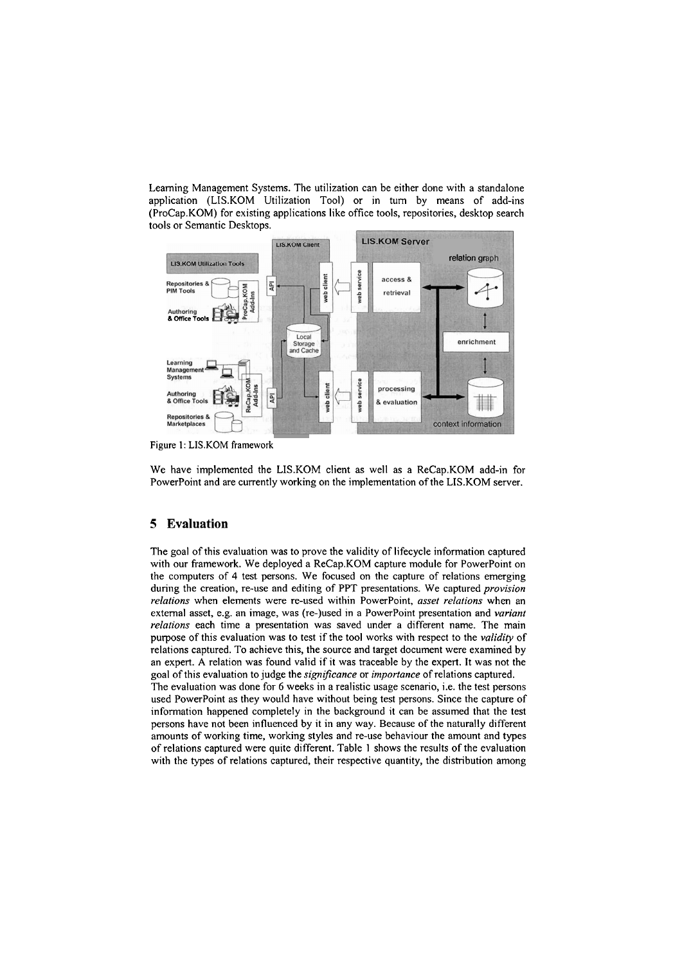Leaming Management Systems. The utilization can be either done with a standalone application (LIS.KOM Utilization Tool) or in turn by means of add-ins (ProCap.KOM) for existing applications like oftice tools, repositories, desktop search tools or Semantic Desktops.



Figure 1: LIS.KOM framework

We have implemented the LIS.KOM client as well as a ReCap.KOM add-in for PowerPoint and are currently working on the implementation of the LIS.KOM Server.

# **5 Evaluation**

The goal of this evaluation was to prove the validity of lifecycle information captured with our fiamework. We deployed a ReCap.KOM capture module for PowerPoint on the computers of 4 test persons. We focused on the capture of relations emerging dunng the creation, re-use and editing of PPT presentations. We captured *provision relations* when elements were re-used within PowerPoint, *asset relations* when an external asset, e.g. an image, was (re-)used in a PowerPoint presentation and *variant relations* each time a presentation was saved under a different name. The main purpose of this evaluation was to test if the tool works with respect to the *validiv* of relations captured. To achieve this, the source and target document were examined by an expert. A relation was found valid if it was traceable by the expert. It was not the goal of this evaluation to judge the *signtjicance* or *importance* of relations captured. The evaluation was done for 6 weeks in a realistic usage scenario, i.e. the test persons

used PowerPoint as they would have without being test persons. Since the capture of information happened completely in the background it can be assumed that the test persons have not been influenced by it in any way. Because of the naturally different amounts of working time, working styles and re-use behaviour the amount and types of relations captured were quite different. Table 1 shows the results of the evaluation with the types of relations captured, their respective quantity, the distribution among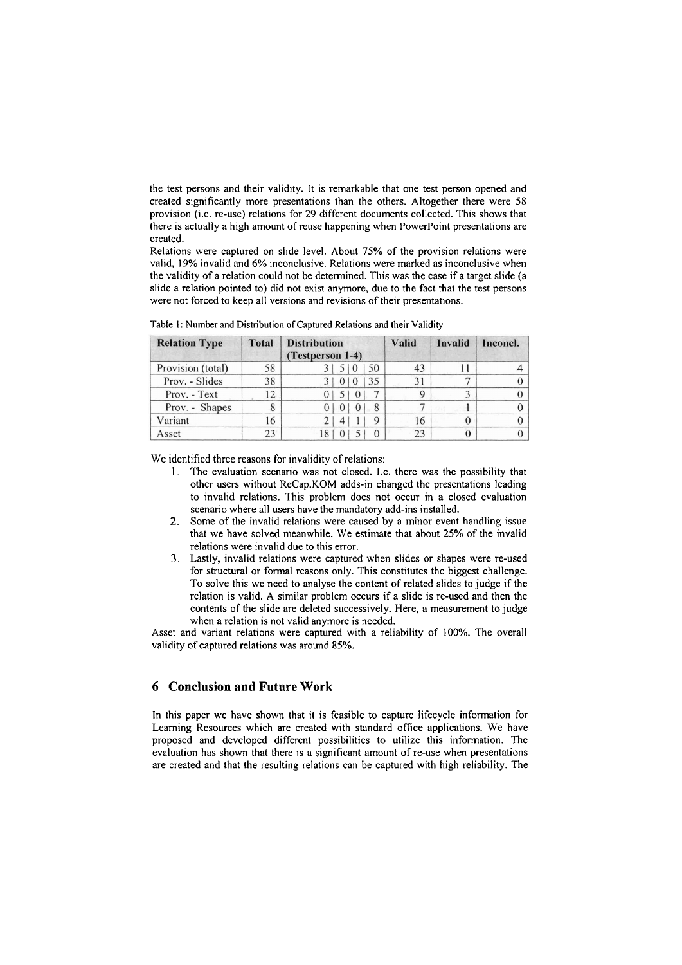the test persons and their validity. It is remarkable that one test person opened and created significantly more presentations than the others. Altogether there were 58 provision (i.e. re-use) relations for 29 different documents collected. This shows that there is actually a high amount of reuse happening when PowerPoint presentations are created.

Relations were captured on slide level. About 75% of the provision relations were valid, 19% invalid and 6% inconclusive. Relations were marked as inconclusive when the validity of a relation could not be determined. This was the case if a target slide (a slide a relation pointed to) did not exist anymore, due to the fact that the test persons were not forced to keep all versions and revisions of their presentations.

| <b>Relation Type</b> | <b>Total</b> | <b>Distribution</b><br>(Testperson 1-4) | Valid | Invalid | Inconcl. |
|----------------------|--------------|-----------------------------------------|-------|---------|----------|
| Provision (total)    | 58           | 50                                      | 43    |         |          |
| Prov. - Slides       | 38           | 35                                      |       |         |          |
| Prov. - Text         | 12           |                                         | 9     |         |          |
| Prov. - Shapes       |              | 8                                       |       |         |          |
| Variant              | 16           | O                                       | 16    |         |          |
| Asset                | 23           |                                         | 23    |         |          |

Table 1: Number and Distribution of Captured Relations and their Validity

We identified three reasons for invalidity of relations:

- **1.** The evaluation scenario was not closed. 1.e. there was the possibility that other users without ReCap.KOM adds-in changed the presentations leading to invalid relations. This problem does not occur in a closed evaluation scenario where all users have the mandatory add-ins installed.
- 2. Some of the invalid relations were caused by a minor event handling issue that we have solved meanwhile. We estimate that about 25% of the invalid relations were invalid due to this error.
- **3.** Lastly, invalid relations were captured when slides or shapes were re-used for structural or formal reasons only. This constitutes the biggest challenge. To solve this we need to analyse the content of related slides to judge if the relation is valid. A similar problem occurs if a slide is re-used and then the contents of the slide are deleted successively. Here, a measurement to judge when a relation is not valid anymore is needed.

Asset and variant relations were captured with a reliability of 100%. The overall validity of captured relations was around 85%.

#### **6 Conclusion and Future Work**

In this paper we have shown that it is feasible to capture lifecycle information for Learning Resources which are created with standard office applications. We have proposed and developed different possibilities to utilize this information. The evaluation has shown that there is a significant amount of re-use when presentations are created and that the resulting relations can be captured with high reliability. The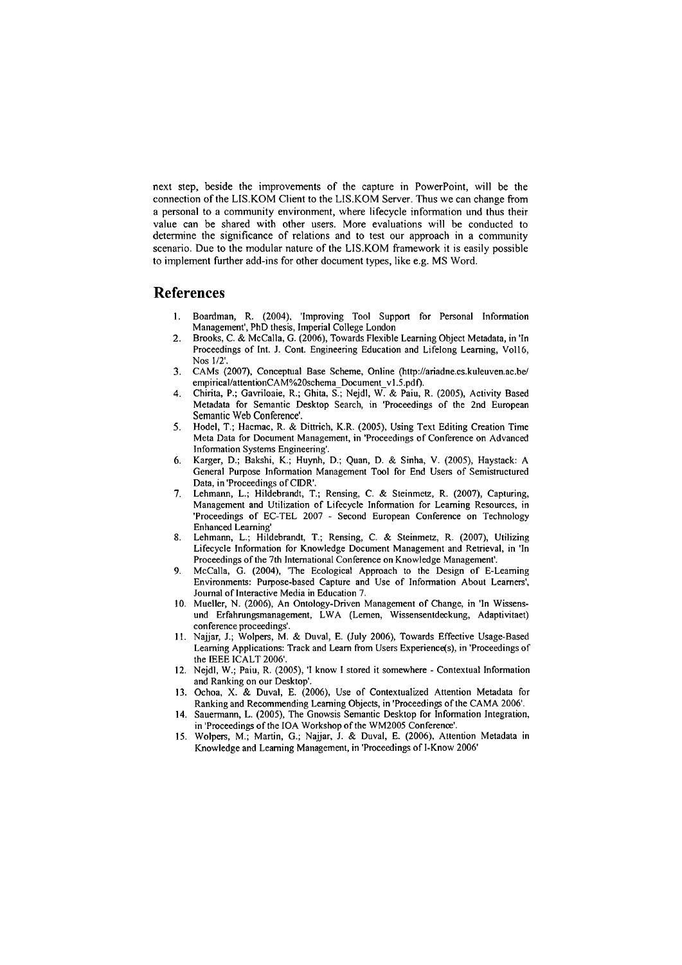next step, beside the improvements of the capture in PowerPoint, will be the connection of the LIS.KOM Client to the LIS.KOM Server. Thus we can change from a personal to a community environment, where lifecycle information und thus their value can be shared with other users. More evaluations will be conducted to determine the significance of relations and to test our approach in a community scenario. Due to the modular nature of the LIS.KOM fiamework it is easily possible to implement further add-ins for other document types, like e.g. MS Word.

#### **References**

- 1. Boardman, R. (2004). 'lmproving Tool Support for Personal Information Management', PhD thesis, Imperial College London
- 2. Brooks, C. & McCalla, G. (2006), Towards Flexible Learning Object Metadata, in 'In Proceedings of Int. J. Cont. Engineering Education and Lifelong Learning, Vo116, Nos 1/2'.
- 3. CAMs (2007), Conceptual Base Scheme, Online (http://ariadne.cs.kuleuven.ac.be/ **empirical/attentionCAM%20schema~Docurnent~v** 1 .5.pdf).
- 4. Chirita, P.; Gavriloaie, R.; Ghita, S.; Nejdl, W. & Paiu, R. (2005), Activity Based Metadata for Semantic Desktop Search, in 'Proceedings of the 2nd European Semantic Web Conference'.
- **5.** Hodel, T.; Hacmac, R. & Dittrich, K.R. (2005), Using Text Editing Creation Time Meta Data for Document Management, in 'Proceedings of Conference on Advanced Information Systems Engineering'.
- 6. Karger, D.; Bakshi, K.; Huynh, D.; Quan, D. & Sinha, V. (2005), Haystack: A General Purpose Information Management Tool for End Users of Semistructured Data, in 'Proceedings of CIDR'.
- **7.** Lehmann, L.; Hildebrandt, T.; Rensing, C. & Steinmetz, R. (2007), Capturing, Management and Utilization of Lifecycle Information for Learning Resources, in 'Proceedings of EC-TEL 2007 - Second European Conference on Technology Enhanced Learning'
- 8. Lehmann, L.; Hildebrandt, T.; Rensing, C. & Steinmetz, R. (2007), Utilizing Lifecycle Information for Knowledge Document Management and Retrieval, in 'In Proceedings of the 7th International Conference on Knowledge Management'.
- 9. McCalla, G. (2004). 'The Ecological Approach to the Design of E-Leaming Environments: Purpose-based Capture and Use of Information About Learners', Journal of lnteractive Media in Education 7.
- 10. Mueller, N. (2006), An Ontology-Driven Management of Change, in 'In Wissensund Erfahrungsmanagement, LWA (Lernen, Wissensentdeckung, Adaptivitaet) conference proceedings'.
- 11. Najjar, J.; Wolpers, M. & Duval, E. (July 2006), Towards Effective Usage-Based Learning Applications: Track and Learn from Users Experience(s), in 'Proceedings of the IEEE ICALT 2006'.
- 12. Nejdl, W.; Paiu, R. (2005), 'I know 1 stored it somewhere Contextual Information and Ranking on our Desktop'.
- 13. Ochoa, X. & Duval, E. (2006), Use of Contextualized Attention Metadata for Ranking and Recommending Learning Objects, in 'Proceedings of the CAMA 2006'.
- Sauermann, L. (2005), The Gnowsis Semantic Desktop for Information Integration, in 'Proceedings of the IOA Workshop of the WM2005 Conference'.
- 15. Wolpers, M.; Martin, G.; Najjar, J. & Duval, E. (2006). Attention Metadata in Knowledge and Learning Management, in 'Proceedings of I-Know 2006'